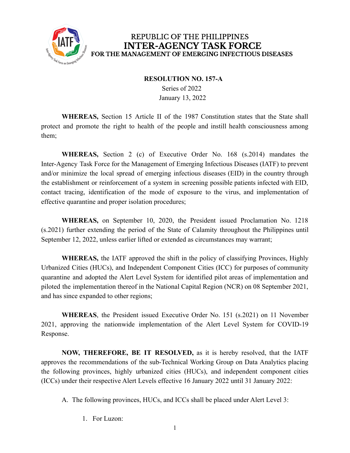

#### **RESOLUTION NO. 157-A**

Series of 2022 January 13, 2022

**WHEREAS,** Section 15 Article II of the 1987 Constitution states that the State shall protect and promote the right to health of the people and instill health consciousness among them;

**WHEREAS,** Section 2 (c) of Executive Order No. 168 (s.2014) mandates the Inter-Agency Task Force for the Management of Emerging Infectious Diseases (IATF) to prevent and/or minimize the local spread of emerging infectious diseases (EID) in the country through the establishment or reinforcement of a system in screening possible patients infected with EID, contact tracing, identification of the mode of exposure to the virus, and implementation of effective quarantine and proper isolation procedures;

**WHEREAS,** on September 10, 2020, the President issued Proclamation No. 1218 (s.2021) further extending the period of the State of Calamity throughout the Philippines until September 12, 2022, unless earlier lifted or extended as circumstances may warrant;

**WHEREAS,** the IATF approved the shift in the policy of classifying Provinces, Highly Urbanized Cities (HUCs), and Independent Component Cities (ICC) for purposes of community quarantine and adopted the Alert Level System for identified pilot areas of implementation and piloted the implementation thereof in the National Capital Region (NCR) on 08 September 2021, and has since expanded to other regions;

**WHEREAS**, the President issued Executive Order No. 151 (s.2021) on 11 November 2021, approving the nationwide implementation of the Alert Level System for COVID-19 Response.

**NOW, THEREFORE, BE IT RESOLVED,** as it is hereby resolved, that the IATF approves the recommendations of the sub-Technical Working Group on Data Analytics placing the following provinces, highly urbanized cities (HUCs), and independent component cities (ICCs) under their respective Alert Levels effective 16 January 2022 until 31 January 2022:

A. The following provinces, HUCs, and ICCs shall be placed under Alert Level 3:

1. For Luzon: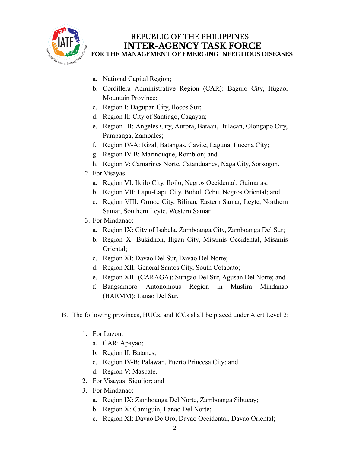

- a. National Capital Region;
- b. Cordillera Administrative Region (CAR): Baguio City, Ifugao, Mountain Province;
- c. Region I: Dagupan City, Ilocos Sur;
- d. Region II: City of Santiago, Cagayan;
- e. Region III: Angeles City, Aurora, Bataan, Bulacan, Olongapo City, Pampanga, Zambales;
- f. Region IV-A: Rizal, Batangas, Cavite, Laguna, Lucena City;
- g. Region IV-B: Marinduque, Romblon; and
- h. Region V: Camarines Norte, Catanduanes, Naga City, Sorsogon.
- 2. For Visayas:
	- a. Region VI: Iloilo City, Iloilo, Negros Occidental, Guimaras;
	- b. Region VII: Lapu-Lapu City, Bohol, Cebu, Negros Oriental; and
	- c. Region VIII: Ormoc City, Biliran, Eastern Samar, Leyte, Northern Samar, Southern Leyte, Western Samar.
- 3. For Mindanao:
	- a. Region IX: City of Isabela, Zamboanga City, Zamboanga Del Sur;
	- b. Region X: Bukidnon, Iligan City, Misamis Occidental, Misamis Oriental;
	- c. Region XI: Davao Del Sur, Davao Del Norte;
	- d. Region XII: General Santos City, South Cotabato;
	- e. Region XIII (CARAGA): Surigao Del Sur, Agusan Del Norte; and
	- f. Bangsamoro Autonomous Region in Muslim Mindanao (BARMM): Lanao Del Sur.
- B. The following provinces, HUCs, and ICCs shall be placed under Alert Level 2:
	- 1. For Luzon:
		- a. CAR: Apayao;
		- b. Region II: Batanes;
		- c. Region IV-B: Palawan, Puerto Princesa City; and
		- d. Region V: Masbate.
	- 2. For Visayas: Siquijor; and
	- 3. For Mindanao:
		- a. Region IX: Zamboanga Del Norte, Zamboanga Sibugay;
		- b. Region X: Camiguin, Lanao Del Norte;
		- c. Region XI: Davao De Oro, Davao Occidental, Davao Oriental;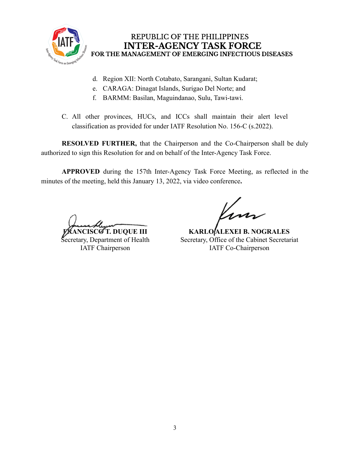

- d. Region XII: North Cotabato, Sarangani, Sultan Kudarat;
- e. CARAGA: Dinagat Islands, Surigao Del Norte; and
- f. BARMM: Basilan, Maguindanao, Sulu, Tawi-tawi.
- C. All other provinces, HUCs, and ICCs shall maintain their alert level classification as provided for under IATF Resolution No. 156-C (s.2022).

**RESOLVED FURTHER,** that the Chairperson and the Co-Chairperson shall be duly authorized to sign this Resolution for and on behalf of the Inter-Agency Task Force.

**APPROVED** during the 157th Inter-Agency Task Force Meeting, as reflected in the minutes of the meeting, held this January 13, 2022, via video conference**.**

**SCØT. DUQUE III** 

Secretary, Department of Health IATF Chairperson

**KARLO ALEXEI B. NOGRALES** Secretary, Office of the Cabinet Secretariat IATF Co-Chairperson